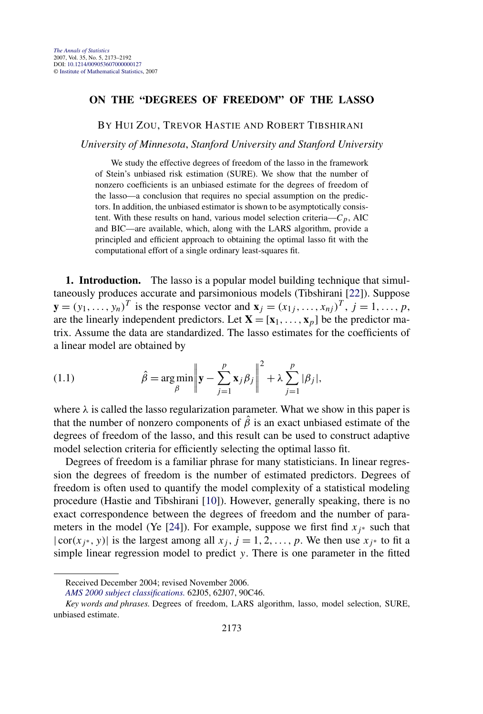## <span id="page-0-0"></span>**ON THE "DEGREES OF FREEDOM" OF THE LASSO**

BY HUI ZOU, TREVOR HASTIE AND ROBERT TIBSHIRANI

*University of Minnesota*, *Stanford University and Stanford University*

We study the effective degrees of freedom of the lasso in the framework of Stein's unbiased risk estimation (SURE). We show that the number of nonzero coefficients is an unbiased estimate for the degrees of freedom of the lasso—a conclusion that requires no special assumption on the predictors. In addition, the unbiased estimator is shown to be asymptotically consistent. With these results on hand, various model selection criteria— $C_p$ , AIC and BIC—are available, which, along with the LARS algorithm, provide a principled and efficient approach to obtaining the optimal lasso fit with the computational effort of a single ordinary least-squares fit.

**1. Introduction.** The lasso is a popular model building technique that simultaneously produces accurate and parsimonious models (Tibshirani [\[22\]](#page-19-0)). Suppose **y** =  $(y_1, ..., y_n)^T$  is the response vector and  $\mathbf{x}_i = (x_{1i}, ..., x_{ni})^T$ ,  $j = 1, ..., p$ , are the linearly independent predictors. Let  $X = [\mathbf{x}_1, \dots, \mathbf{x}_p]$  be the predictor matrix. Assume the data are standardized. The lasso estimates for the coefficients of a linear model are obtained by

(1.1) 
$$
\hat{\beta} = \underset{\beta}{\arg\min} \left\| \mathbf{y} - \sum_{j=1}^{p} \mathbf{x}_{j} \beta_{j} \right\|^{2} + \lambda \sum_{j=1}^{p} |\beta_{j}|,
$$

where  $\lambda$  is called the lasso regularization parameter. What we show in this paper is that the number of nonzero components of  $\hat{\beta}$  is an exact unbiased estimate of the degrees of freedom of the lasso, and this result can be used to construct adaptive model selection criteria for efficiently selecting the optimal lasso fit.

Degrees of freedom is a familiar phrase for many statisticians. In linear regression the degrees of freedom is the number of estimated predictors. Degrees of freedom is often used to quantify the model complexity of a statistical modeling procedure (Hastie and Tibshirani [\[10\]](#page-19-0)). However, generally speaking, there is no exact correspondence between the degrees of freedom and the number of para-meters in the model (Ye [\[24\]](#page-19-0)). For example, suppose we first find  $x_j$ <sup>\*</sup> such that  $|cor(x_j^*, y)|$  is the largest among all  $x_j$ ,  $j = 1, 2, ..., p$ . We then use  $x_j^*$  to fit a simple linear regression model to predict *y*. There is one parameter in the fitted

Received December 2004; revised November 2006.

*[AMS 2000 subject classifications.](http://www.ams.org/msc/)* 62J05, 62J07, 90C46.

*Key words and phrases.* Degrees of freedom, LARS algorithm, lasso, model selection, SURE, unbiased estimate.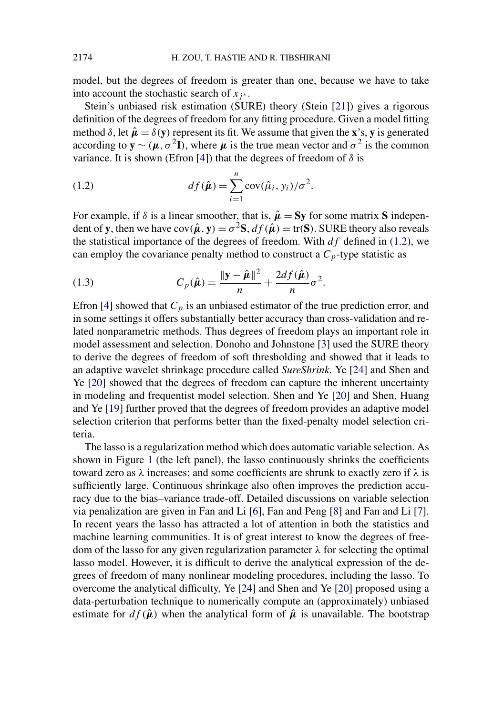model, but the degrees of freedom is greater than one, because we have to take into account the stochastic search of  $x_j$ <sup>\*</sup>.

Stein's unbiased risk estimation (SURE) theory (Stein [\[21\]](#page-19-0)) gives a rigorous definition of the degrees of freedom for any fitting procedure. Given a model fitting method  $\delta$ , let  $\hat{\mu} = \delta(y)$  represent its fit. We assume that given the **x**'s, **y** is generated according to  $y \sim (\mu, \sigma^2 I)$ , where  $\mu$  is the true mean vector and  $\sigma^2$  is the common variance. It is shown (Efron [\[4\]](#page-18-0)) that the degrees of freedom of  $\delta$  is

(1.2) 
$$
df(\hat{\boldsymbol{\mu}}) = \sum_{i=1}^{n} cov(\hat{\mu}_i, y_i) / \sigma^2.
$$

For example, if  $\delta$  is a linear smoother, that is,  $\hat{\mu} = Sy$  for some matrix **S** independent of **y**, then we have  $cov(\hat{\mu}, y) = \sigma^2 S$ ,  $df(\hat{\mu}) = tr(S)$ . SURE theory also reveals the statistical importance of the degrees of freedom. With *df* defined in (1.2), we can employ the covariance penalty method to construct a  $C_p$ -type statistic as

(1.3) 
$$
C_p(\hat{\boldsymbol{\mu}}) = \frac{\|\mathbf{y} - \hat{\boldsymbol{\mu}}\|^2}{n} + \frac{2df(\hat{\boldsymbol{\mu}})}{n}\sigma^2.
$$

Efron [\[4\]](#page-18-0) showed that  $C_p$  is an unbiased estimator of the true prediction error, and in some settings it offers substantially better accuracy than cross-validation and related nonparametric methods. Thus degrees of freedom plays an important role in model assessment and selection. Donoho and Johnstone [\[3\]](#page-18-0) used the SURE theory to derive the degrees of freedom of soft thresholding and showed that it leads to an adaptive wavelet shrinkage procedure called *SureShrink*. Ye [\[24\]](#page-19-0) and Shen and Ye [\[20\]](#page-19-0) showed that the degrees of freedom can capture the inherent uncertainty in modeling and frequentist model selection. Shen and Ye [\[20\]](#page-19-0) and Shen, Huang and Ye [\[19\]](#page-19-0) further proved that the degrees of freedom provides an adaptive model selection criterion that performs better than the fixed-penalty model selection criteria.

The lasso is a regularization method which does automatic variable selection. As shown in Figure [1](#page-2-0) (the left panel), the lasso continuously shrinks the coefficients toward zero as *λ* increases; and some coefficients are shrunk to exactly zero if *λ* is sufficiently large. Continuous shrinkage also often improves the prediction accuracy due to the bias–variance trade-off. Detailed discussions on variable selection via penalization are given in Fan and Li [\[6\]](#page-19-0), Fan and Peng [\[8\]](#page-19-0) and Fan and Li [\[7\]](#page-19-0). In recent years the lasso has attracted a lot of attention in both the statistics and machine learning communities. It is of great interest to know the degrees of freedom of the lasso for any given regularization parameter *λ* for selecting the optimal lasso model. However, it is difficult to derive the analytical expression of the degrees of freedom of many nonlinear modeling procedures, including the lasso. To overcome the analytical difficulty, Ye [\[24\]](#page-19-0) and Shen and Ye [\[20\]](#page-19-0) proposed using a data-perturbation technique to numerically compute an (approximately) unbiased estimate for  $df(\hat{\mu})$  when the analytical form of  $\hat{\mu}$  is unavailable. The bootstrap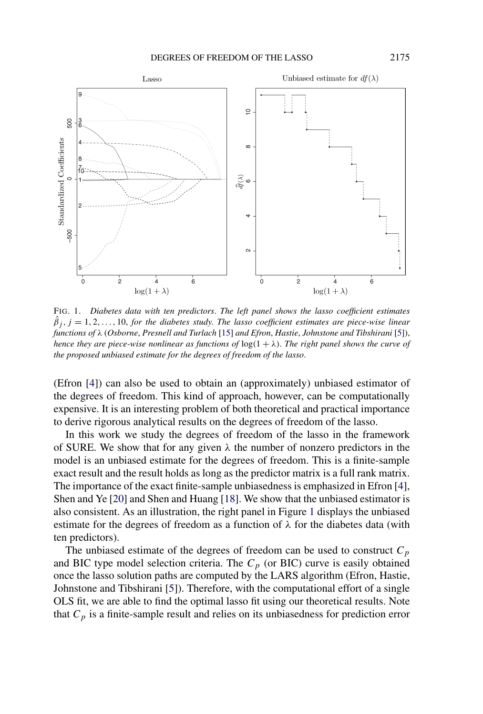<span id="page-2-0"></span>

FIG. 1. *Diabetes data with ten predictors*. *The left panel shows the lasso coefficient estimates*  $\hat{\beta}_j$ ,  $j = 1, 2, ..., 10$ , *for the diabetes study. The lasso coefficient estimates are piece-wise linear functions of λ* (*Osborne*, *Presnell and Turlach* [\[15\]](#page-19-0) *and Efron*, *Hastie*, *Johnstone and Tibshirani* [\[5\]](#page-18-0)), *hence they are piece-wise nonlinear as functions of*  $log(1 + \lambda)$ . *The right panel shows the curve of the proposed unbiased estimate for the degrees of freedom of the lasso*.

(Efron [\[4\]](#page-18-0)) can also be used to obtain an (approximately) unbiased estimator of the degrees of freedom. This kind of approach, however, can be computationally expensive. It is an interesting problem of both theoretical and practical importance to derive rigorous analytical results on the degrees of freedom of the lasso.

In this work we study the degrees of freedom of the lasso in the framework of SURE. We show that for any given  $\lambda$  the number of nonzero predictors in the model is an unbiased estimate for the degrees of freedom. This is a finite-sample exact result and the result holds as long as the predictor matrix is a full rank matrix. The importance of the exact finite-sample unbiasedness is emphasized in Efron [\[4\]](#page-18-0), Shen and Ye [\[20\]](#page-19-0) and Shen and Huang [\[18\]](#page-19-0). We show that the unbiased estimator is also consistent. As an illustration, the right panel in Figure 1 displays the unbiased estimate for the degrees of freedom as a function of  $\lambda$  for the diabetes data (with ten predictors).

The unbiased estimate of the degrees of freedom can be used to construct  $C_p$ and BIC type model selection criteria. The  $C_p$  (or BIC) curve is easily obtained once the lasso solution paths are computed by the LARS algorithm (Efron, Hastie, Johnstone and Tibshirani [\[5\]](#page-18-0)). Therefore, with the computational effort of a single OLS fit, we are able to find the optimal lasso fit using our theoretical results. Note that  $C_p$  is a finite-sample result and relies on its unbiasedness for prediction error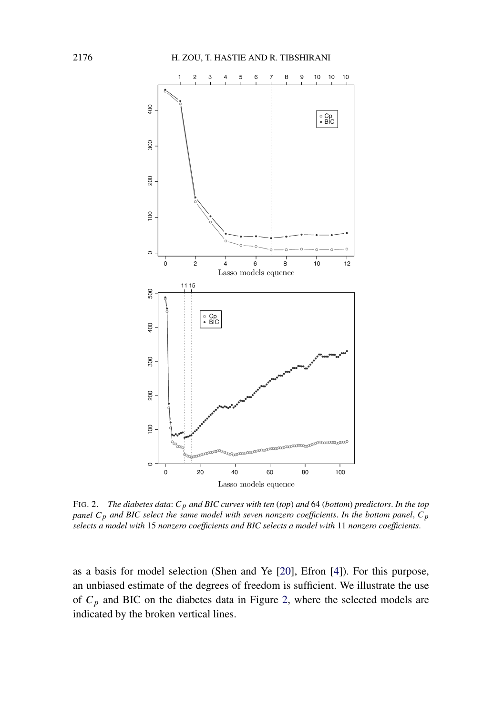

FIG. 2. *The diabetes data*: *Cp and BIC curves with ten* (*top*) *and* 64 (*bottom*) *predictors*. *In the top panel Cp and BIC select the same model with seven nonzero coefficients*. *In the bottom panel*, *Cp selects a model with* 15 *nonzero coefficients and BIC selects a model with* 11 *nonzero coefficients*.

as a basis for model selection (Shen and Ye [\[20\]](#page-19-0), Efron [\[4\]](#page-18-0)). For this purpose, an unbiased estimate of the degrees of freedom is sufficient. We illustrate the use of  $C_p$  and BIC on the diabetes data in Figure 2, where the selected models are indicated by the broken vertical lines.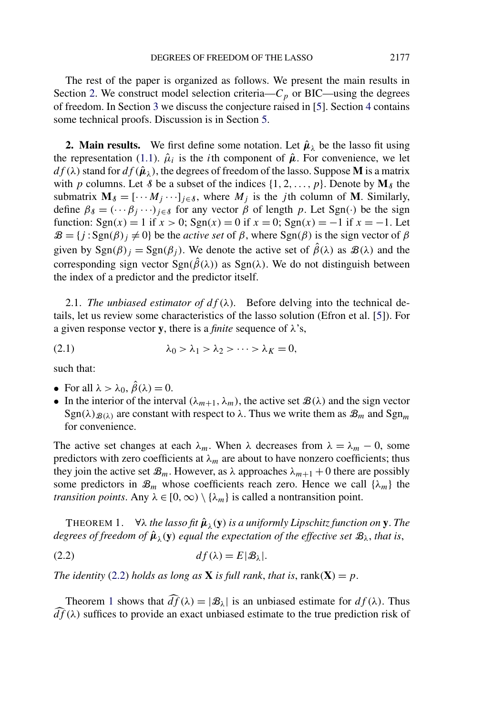<span id="page-4-0"></span>The rest of the paper is organized as follows. We present the main results in Section 2. We construct model selection criteria— $C_p$  or BIC—using the degrees of freedom. In Section [3](#page-10-0) we discuss the conjecture raised in [\[5\]](#page-18-0). Section [4](#page-13-0) contains some technical proofs. Discussion is in Section [5.](#page-18-0)

**2. Main results.** We first define some notation. Let  $\hat{\mu}_{\lambda}$  be the lasso fit using the representation [\(1.1\)](#page-0-0).  $\hat{\mu}_i$  is the *i*th component of  $\hat{\mu}$ . For convenience, we let  $df(\lambda)$  stand for  $df(\hat{\boldsymbol{\mu}}_{\lambda})$ , the degrees of freedom of the lasso. Suppose **M** is a matrix with *p* columns. Let *§* be a subset of the indices  $\{1, 2, ..., p\}$ . Denote by  $M_{\delta}$  the submatrix  $M_{\delta} = [\cdots M_j \cdots]_{j \in \delta}$ , where  $M_j$  is the *j*th column of M. Similarly, define  $\beta_{\delta} = (\cdots \beta_i \cdots)_{i \in \delta}$  for any vector  $\beta$  of length *p*. Let Sgn(·*)* be the sign function:  $\text{Sgn}(x) = 1$  if  $x > 0$ ;  $\text{Sgn}(x) = 0$  if  $x = 0$ ;  $\text{Sgn}(x) = -1$  if  $x = -1$ . Let  $B = \{j : \text{Sgn}(\beta) \neq 0\}$  be the *active set* of  $\beta$ , where  $\text{Sgn}(\beta)$  is the sign vector of  $\beta$ given by  $\text{Sgn}(\beta)_j = \text{Sgn}(\beta_j)$ . We denote the active set of  $\hat{\beta}(\lambda)$  as  $\mathcal{B}(\lambda)$  and the corresponding sign vector  $\text{Sgn}(\hat{\beta}(\lambda))$  as  $\text{Sgn}(\lambda)$ . We do not distinguish between the index of a predictor and the predictor itself.

2.1. *The unbiased estimator of*  $df(\lambda)$ *.* Before delving into the technical details, let us review some characteristics of the lasso solution (Efron et al. [\[5\]](#page-18-0)). For a given response vector **y**, there is a *finite* sequence of *λ*'s,

(2.1)  $λ_0 > λ_1 > λ_2 > \cdots > λ_K = 0,$ 

such that:

- For all  $\lambda > \lambda_0$ ,  $\hat{\beta}(\lambda) = 0$ .
- In the interior of the interval  $(\lambda_{m+1}, \lambda_m)$ , the active set  $\mathcal{B}(\lambda)$  and the sign vector  $\text{Sgn}(\lambda)_{\mathcal{B}(\lambda)}$  are constant with respect to  $\lambda$ . Thus we write them as  $\mathcal{B}_m$  and  $\text{Sgn}_m$ for convenience.

The active set changes at each  $\lambda_m$ . When  $\lambda$  decreases from  $\lambda = \lambda_m - 0$ , some predictors with zero coefficients at  $\lambda_m$  are about to have nonzero coefficients; thus they join the active set  $\mathcal{B}_m$ . However, as  $\lambda$  approaches  $\lambda_{m+1}$  + 0 there are possibly some predictors in  $\mathcal{B}_m$  whose coefficients reach zero. Hence we call  $\{\lambda_m\}$  the *transition points.* Any  $\lambda \in [0, \infty) \setminus {\{\lambda_m\}}$  is called a nontransition point.

THEOREM 1.  $\forall \lambda$  *the lasso fit*  $\hat{\mu}_{\lambda}(y)$  *is a uniformly Lipschitz function on* **y**. *The degrees of freedom of*  $\hat{\mu}_{\lambda}(y)$  *equal the expectation of the effective set*  $\mathcal{B}_{\lambda}$ *, that is,* 

$$
(2.2) \t df(\lambda) = E|\mathcal{B}_{\lambda}|.
$$

*The identity* (2.2) *holds as long as* **X** *is full rank, that is, rank*( $X$ ) = *p*.

Theorem 1 shows that  $\widehat{df}(\lambda) = |\mathcal{B}_{\lambda}|$  is an unbiased estimate for  $df(\lambda)$ . Thus  $d\tilde{f}(\lambda)$  suffices to provide an exact unbiased estimate to the true prediction risk of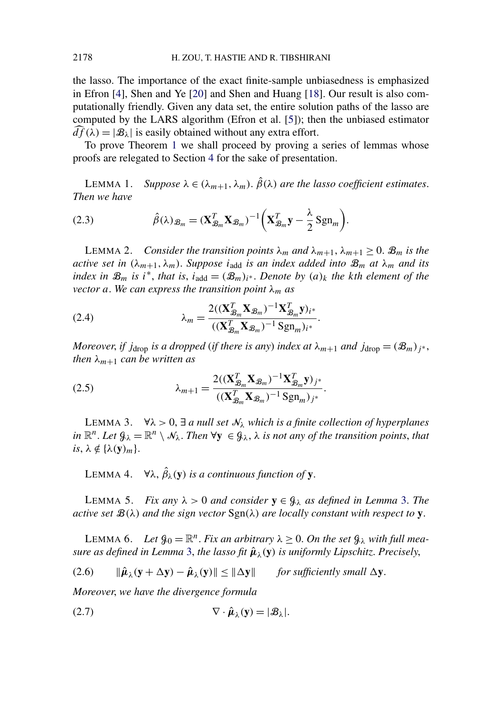<span id="page-5-0"></span>the lasso. The importance of the exact finite-sample unbiasedness is emphasized in Efron [\[4\]](#page-18-0), Shen and Ye [\[20\]](#page-19-0) and Shen and Huang [\[18\]](#page-19-0). Our result is also computationally friendly. Given any data set, the entire solution paths of the lasso are computed by the LARS algorithm (Efron et al. [\[5\]](#page-18-0)); then the unbiased estimator  $d\vec{f}(\lambda) = |\mathcal{B}_{\lambda}|$  is easily obtained without any extra effort.

To prove Theorem [1](#page-4-0) we shall proceed by proving a series of lemmas whose proofs are relegated to Section [4](#page-13-0) for the sake of presentation.

LEMMA 1. *Suppose*  $\lambda \in (\lambda_{m+1}, \lambda_m)$ .  $\hat{\beta}(\lambda)$  *are the lasso coefficient estimates. Then we have*

(2.3) 
$$
\hat{\beta}(\lambda)_{\mathcal{B}_m} = (\mathbf{X}_{\mathcal{B}_m}^T \mathbf{X}_{\mathcal{B}_m})^{-1} \left( \mathbf{X}_{\mathcal{B}_m}^T \mathbf{y} - \frac{\lambda}{2} \operatorname{Sgn}_m \right).
$$

LEMMA 2. *Consider the transition points*  $\lambda_m$  *and*  $\lambda_{m+1}$ ,  $\lambda_{m+1} \geq 0$ .  $\mathcal{B}_m$  *is the active set in*  $(\lambda_{m+1}, \lambda_m)$ . *Suppose i*<sub>add</sub> *is an index added into*  $\mathcal{B}_m$  *at*  $\lambda_m$  *and its index in*  $\mathcal{B}_m$  *is i*<sup>\*</sup>, *that is*, *i*<sub>add</sub> =  $(\mathcal{B}_m)_{i^*}$ . *Denote by*  $(a)_k$  *the kth element of the vector a*. We can express the transition point  $\lambda_m$  *as* 

(2.4) 
$$
\lambda_m = \frac{2((\mathbf{X}_{\mathcal{B}_m}^T \mathbf{X}_{\mathcal{B}_m})^{-1} \mathbf{X}_{\mathcal{B}_m}^T \mathbf{y})_{i^*}}{((\mathbf{X}_{\mathcal{B}_m}^T \mathbf{X}_{\mathcal{B}_m})^{-1} \mathbf{S} \mathbf{g} \mathbf{n}_m)_{i^*}}.
$$

*Moreover, if j*<sub>drop</sub> *is a dropped* (*if there is any*) *index at*  $\lambda_{m+1}$  *and*  $j_{drop} = (\mathcal{B}_m)_{i^*}$ , *then*  $\lambda_{m+1}$  *can be written as* 

(2.5) 
$$
\lambda_{m+1} = \frac{2((\mathbf{X}_{\mathcal{B}_m}^T \mathbf{X}_{\mathcal{B}_m})^{-1} \mathbf{X}_{\mathcal{B}_m}^T \mathbf{y})_{j^*}}{((\mathbf{X}_{\mathcal{B}_m}^T \mathbf{X}_{\mathcal{B}_m})^{-1} \mathbf{S} \mathbf{g} \mathbf{n}_m)_{j^*}}.
$$

LEMMA 3.  $\forall \lambda > 0$ ,  $\exists$  *a null set*  $\mathcal{N}_\lambda$  *which is a finite collection of hyperplanes in*  $\mathbb{R}^n$ . *Let*  $\mathcal{G}_\lambda = \mathbb{R}^n \setminus \mathcal{N}_\lambda$ . *Then*  $\forall y \in \mathcal{G}_\lambda$ ,  $\lambda$  *is not any of the transition points, that*  $is, \lambda \notin {\lambda(\mathbf{y})_m}$ .

LEMMA 4.  $\forall \lambda$ ,  $\hat{\beta}_{\lambda}(\mathbf{y})$  *is a continuous function of* **y**.

LEMMA 5. *Fix any*  $λ > 0$  *and consider* *as defined in Lemma* **3.** *The active set*  $\mathcal{B}(\lambda)$  *and the sign vector*  $\text{Sgn}(\lambda)$  *are locally constant with respect to* **y**.

LEMMA 6. Let  $\mathcal{G}_0 = \mathbb{R}^n$ . *Fix an arbitrary*  $\lambda \geq 0$ . *On the set*  $\mathcal{G}_\lambda$  *with full measure as defined in Lemma* 3, *the lasso fit*  $\hat{\mu}_{\lambda}(y)$  *is uniformly Lipschitz. Precisely,* 

 $\|\hat{\boldsymbol{\mu}}_{\lambda}(\mathbf{y} + \Delta \mathbf{y}) - \hat{\boldsymbol{\mu}}_{\lambda}(\mathbf{y})\| \leq \|\Delta \mathbf{y}\|$  *for sufficiently small*  $\Delta \mathbf{y}$ *.* 

*Moreover*, *we have the divergence formula*

$$
(2.7) \t\t \nabla \cdot \hat{\boldsymbol{\mu}}_{\lambda}(\mathbf{y}) = |\mathcal{B}_{\lambda}|.
$$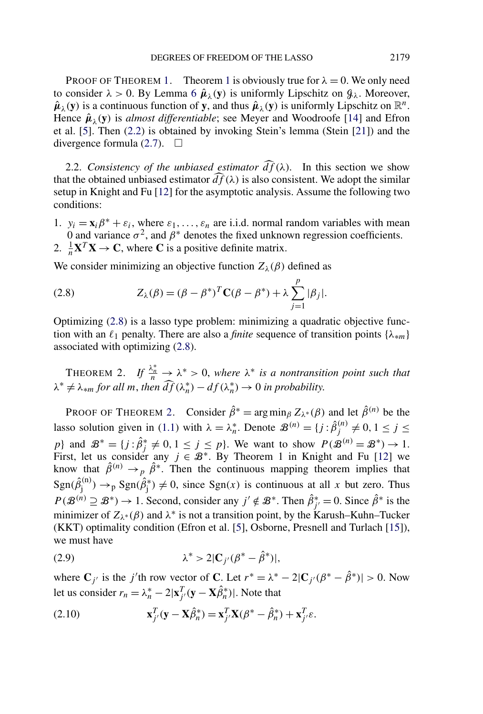PROOF OF THEOREM [1.](#page-4-0) Theorem [1](#page-4-0) is obviously true for  $\lambda = 0$ . We only need to consider  $\lambda > 0$ . By Lemma [6](#page-5-0)  $\hat{\mu}_{\lambda}(\mathbf{y})$  is uniformly Lipschitz on  $\mathcal{G}_{\lambda}$ . Moreover,  $\hat{\mu}_{\lambda}(y)$  is a continuous function of y, and thus  $\hat{\mu}_{\lambda}(y)$  is uniformly Lipschitz on  $\mathbb{R}^{n}$ . Hence  $\hat{\mu}_{\lambda}(y)$  is *almost differentiable*; see Meyer and Woodroofe [\[14\]](#page-19-0) and Efron et al. [\[5\]](#page-18-0). Then [\(2.2\)](#page-4-0) is obtained by invoking Stein's lemma (Stein [\[21\]](#page-19-0)) and the divergence formula  $(2.7)$ .  $\Box$ 

2.2. *Consistency of the unbiased estimator*  $\widehat{df}(\lambda)$ . In this section we show that the obtained unbiased estimator  $\widehat{df}(\lambda)$  is also consistent. We adopt the similar setup in Knight and Fu [\[12\]](#page-19-0) for the asymptotic analysis. Assume the following two conditions:

1.  $y_i = \mathbf{x}_i \beta^* + \varepsilon_i$ , where  $\varepsilon_1, \dots, \varepsilon_n$  are i.i.d. normal random variables with mean 0 and variance  $\sigma^2$ , and  $\beta^*$  denotes the fixed unknown regression coefficients. 2.  $\frac{1}{n} \mathbf{X}^T \mathbf{X} \to \mathbf{C}$ , where **C** is a positive definite matrix.

We consider minimizing an objective function  $Z_{\lambda}(\beta)$  defined as

(2.8) 
$$
Z_{\lambda}(\beta) = (\beta - \beta^{*})^{T} \mathbf{C}(\beta - \beta^{*}) + \lambda \sum_{j=1}^{p} |\beta_{j}|.
$$

Optimizing (2.8) is a lasso type problem: minimizing a quadratic objective function with an  $\ell_1$  penalty. There are also a *finite* sequence of transition points { $\lambda_{*m}$ } associated with optimizing (2.8).

THEOREM 2. If  $\frac{\lambda_n^*}{n} \to \lambda^* > 0$ , where  $\lambda^*$  is a nontransition point such that  $\lambda^* \neq \lambda_{*m}$  *for all m, then*  $\widehat{df}(\lambda_n^*) - df(\lambda_n^*) \to 0$  *in probability.* 

PROOF OF THEOREM 2. Consider  $\hat{\beta}^* = \arg \min_{\beta} Z_{\lambda^*}(\beta)$  and let  $\hat{\beta}^{(n)}$  be the lasso solution given in [\(1.1\)](#page-0-0) with  $\lambda = \lambda_n^*$ . Denote  $\mathcal{B}^{(n)} = \{j : \hat{\beta}_j^{(n)} \neq 0, 1 \leq j \leq n\}$ *p*} and  $\mathcal{B}^* = \{j : \hat{\beta}^* \neq 0, 1 \leq j \leq p\}$ . We want to show  $P(\mathcal{B}^{(n)} = \mathcal{B}^*) \rightarrow 1$ . First, let us consider any  $j \in \mathcal{B}^*$ . By Theorem 1 in Knight and Fu [\[12\]](#page-19-0) we know that  $\hat{\beta}^{(n)} \rightarrow p \hat{\beta}^*$ . Then the continuous mapping theorem implies that  $\text{Sgn}(\hat{\beta}_j^{(n)}) \to_p \text{Sgn}(\hat{\beta}_j^*) \neq 0$ , since  $\text{Sgn}(x)$  is continuous at all *x* but zero. Thus  $P(\mathcal{B}^{(n)} \supseteq \mathcal{B}^*) \to 1$ . Second, consider any  $j' \notin \mathcal{B}^*$ . Then  $\hat{\beta}_{j'}^* = 0$ . Since  $\hat{\beta}^*$  is the minimizer of  $Z_{\lambda^*}(\beta)$  and  $\lambda^*$  is not a transition point, by the Karush–Kuhn–Tucker (KKT) optimality condition (Efron et al. [\[5\]](#page-18-0), Osborne, Presnell and Turlach [\[15\]](#page-19-0)), we must have

$$
\lambda^* > 2|\mathbf{C}_{j'}(\beta^* - \hat{\beta}^*)|,
$$

where  $\mathbf{C}_{j'}$  is the *j*'th row vector of **C**. Let  $r^* = \lambda^* - 2|\mathbf{C}_{j'}(\beta^* - \hat{\beta}^*)| > 0$ . Now let us consider  $r_n = \lambda_n^* - 2|\mathbf{x}_{j'}^T(\mathbf{y} - \mathbf{X}\hat{\beta}_n^*)|$ . Note that

(2.10) 
$$
\mathbf{x}_{j'}^T(\mathbf{y}-\mathbf{X}\hat{\beta}_n^*)=\mathbf{x}_{j'}^T\mathbf{X}(\beta^*-\hat{\beta}_n^*)+\mathbf{x}_{j'}^T\boldsymbol{\varepsilon}.
$$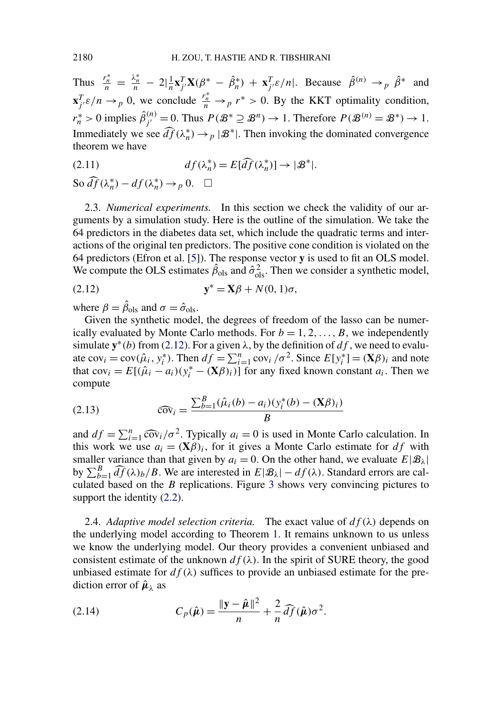<span id="page-7-0"></span>Thus  $\frac{r_n^*}{n} = \frac{\lambda_n^*}{n} - 2\left|\frac{1}{n}\mathbf{x}_{j'}^T\mathbf{X}(\beta^* - \hat{\beta}_n^*) + \mathbf{x}_{j'}^T\epsilon/n\right|$ . Because  $\hat{\beta}^{(n)} \to_p \hat{\beta}^*$  and  $\mathbf{x}_{j'}^T \varepsilon/n \to p$  0, we conclude  $\frac{r_n^*}{n} \to p r^* > 0$ . By the KKT optimality condition,  $r_n^* > 0$  implies  $\hat{\beta}_{j'}^{(n)} = 0$ . Thus  $P(\mathcal{B}^* \supseteq \mathcal{B}^n) \to 1$ . Therefore  $P(\mathcal{B}^{(n)} = \mathcal{B}^*) \to 1$ . Immediately we see  $\widehat{df}(\lambda_n^*) \to_p |\mathcal{B}^*|$ . Then invoking the dominated convergence theorem we have

(2.11) 
$$
df(\lambda_n^*) = E[\widehat{df}(\lambda_n^*)] \to |\mathcal{B}^*|.
$$

So  $\widehat{df}(\lambda_n^*) - df(\lambda_n^*) \to_p 0$ .  $\Box$ 

2.3. *Numerical experiments.* In this section we check the validity of our arguments by a simulation study. Here is the outline of the simulation. We take the 64 predictors in the diabetes data set, which include the quadratic terms and interactions of the original ten predictors. The positive cone condition is violated on the 64 predictors (Efron et al. [\[5\]](#page-18-0)). The response vector **y** is used to fit an OLS model. We compute the OLS estimates  $\hat{\beta}_{ols}$  and  $\hat{\sigma}_{ols}^2$ . Then we consider a synthetic model,

$$
\mathbf{y}^* = \mathbf{X}\boldsymbol{\beta} + N(0, 1)\boldsymbol{\sigma},
$$

where  $\beta = \hat{\beta}_{ols}$  and  $\sigma = \hat{\sigma}_{ols}$ .

Given the synthetic model, the degrees of freedom of the lasso can be numerically evaluated by Monte Carlo methods. For  $b = 1, 2, \ldots, B$ , we independently simulate  $y^*(b)$  from (2.12). For a given  $\lambda$ , by the definition of  $df$ , we need to evaluate  $cov_i = cov(\hat{\mu}_i, y_i^*)$ . Then  $df = \sum_{i=1}^n cov_i / \sigma^2$ . Since  $E[y_i^*] = (\mathbf{X}\beta)_i$  and note that  $cov_i = E[(\hat{\mu}_i - a_i)(y_i^* - (\mathbf{X}\beta)_i)]$  for any fixed known constant  $a_i$ . Then we compute

(2.13) 
$$
\widehat{\text{cov}}_i = \frac{\sum_{b=1}^{B} (\hat{\mu}_i(b) - a_i)(y_i^*(b) - (\mathbf{X}\beta)_i)}{B}
$$

and  $df = \sum_{i=1}^{n} \widehat{\text{cov}}_i / \sigma^2$ . Typically  $a_i = 0$  is used in Monte Carlo calculation. In this work we use  $a_i = (\mathbf{X}\beta)_i$ , for it gives a Monte Carlo estimate for  $df$  with smaller variance than that given by  $a_i = 0$ . On the other hand, we evaluate  $E|\mathcal{B}_\lambda|$ by  $\sum_{b=1}^{B} \widehat{df}(\lambda)_b/B$ . We are interested in  $E|\mathcal{B}_\lambda| - df(\lambda)$ . Standard errors are calculated based on the *B* replications. Figure [3](#page-8-0) shows very convincing pictures to support the identity  $(2.2)$ .

2.4. *Adaptive model selection criteria.* The exact value of  $df(\lambda)$  depends on the underlying model according to Theorem [1.](#page-4-0) It remains unknown to us unless we know the underlying model. Our theory provides a convenient unbiased and consistent estimate of the unknown  $df(\lambda)$ . In the spirit of SURE theory, the good unbiased estimate for  $df(\lambda)$  suffices to provide an unbiased estimate for the prediction error of  $\hat{\mu}_{\lambda}$  as

(2.14) 
$$
C_p(\hat{\boldsymbol{\mu}}) = \frac{\|\mathbf{y} - \hat{\boldsymbol{\mu}}\|^2}{n} + \frac{2}{n} \widehat{df}(\hat{\boldsymbol{\mu}})\sigma^2.
$$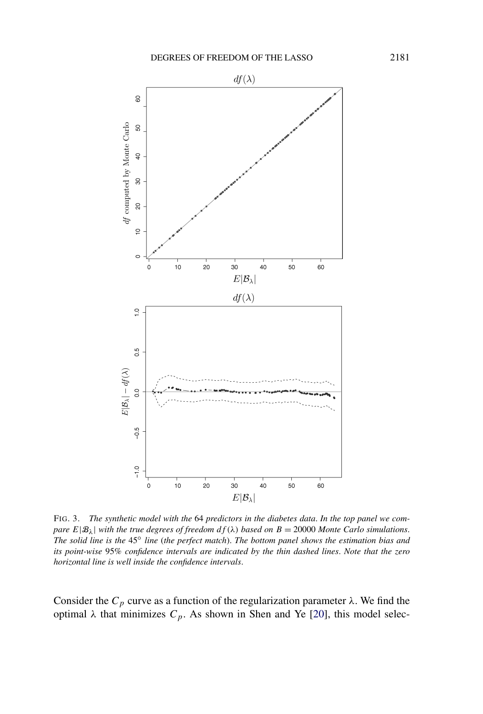<span id="page-8-0"></span>

FIG. 3. *The synthetic model with the* 64 *predictors in the diabetes data*. *In the top panel we compare*  $E|\mathcal{B}_\lambda|$  *with the true degrees of freedom*  $df(\lambda)$  *based on*  $B = 20000$  *Monte Carlo simulations. The solid line is the* 45◦ *line* (*the perfect match*). *The bottom panel shows the estimation bias and its point-wise* 95% *confidence intervals are indicated by the thin dashed lines*. *Note that the zero horizontal line is well inside the confidence intervals*.

Consider the  $C_p$  curve as a function of the regularization parameter  $\lambda$ . We find the optimal *λ* that minimizes  $C_p$ . As shown in Shen and Ye [\[20\]](#page-19-0), this model selec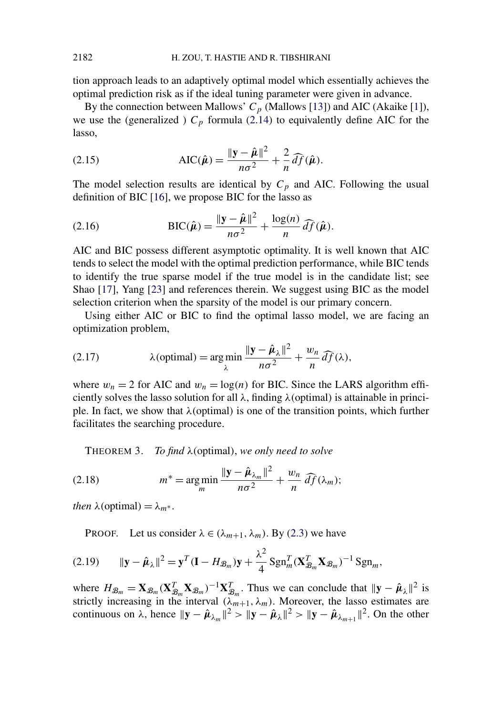<span id="page-9-0"></span>tion approach leads to an adaptively optimal model which essentially achieves the optimal prediction risk as if the ideal tuning parameter were given in advance.

By the connection between Mallows'  $C_p$  (Mallows [\[13\]](#page-19-0)) and AIC (Akaike [\[1\]](#page-18-0)), we use the (generalized )  $C_p$  formula [\(2.14\)](#page-7-0) to equivalently define AIC for the lasso,

(2.15) 
$$
\text{AIC}(\hat{\boldsymbol{\mu}}) = \frac{\|\mathbf{y} - \hat{\boldsymbol{\mu}}\|^2}{n\sigma^2} + \frac{2}{n}\widehat{df}(\hat{\boldsymbol{\mu}}).
$$

The model selection results are identical by  $C_p$  and AIC. Following the usual definition of BIC [\[16\]](#page-19-0), we propose BIC for the lasso as

(2.16) 
$$
\text{BIC}(\hat{\boldsymbol{\mu}}) = \frac{\|\mathbf{y} - \hat{\boldsymbol{\mu}}\|^2}{n\sigma^2} + \frac{\log(n)}{n} \widehat{df}(\hat{\boldsymbol{\mu}}).
$$

AIC and BIC possess different asymptotic optimality. It is well known that AIC tends to select the model with the optimal prediction performance, while BIC tends to identify the true sparse model if the true model is in the candidate list; see Shao [\[17\]](#page-19-0), Yang [\[23\]](#page-19-0) and references therein. We suggest using BIC as the model selection criterion when the sparsity of the model is our primary concern.

Using either AIC or BIC to find the optimal lasso model, we are facing an optimization problem,

(2.17) 
$$
\lambda(\text{optimal}) = \argmin_{\lambda} \frac{\|\mathbf{y} - \hat{\boldsymbol{\mu}}_{\lambda}\|^2}{n\sigma^2} + \frac{w_n}{n} \widehat{df}(\lambda),
$$

where  $w_n = 2$  for AIC and  $w_n = \log(n)$  for BIC. Since the LARS algorithm efficiently solves the lasso solution for all *λ*, finding *λ(*optimal*)* is attainable in principle. In fact, we show that *λ(*optimal*)* is one of the transition points, which further facilitates the searching procedure.

THEOREM 3. *To find λ(*optimal*)*, *we only need to solve*

(2.18) 
$$
m^* = \underset{m}{\arg\min} \frac{\|\mathbf{y} - \hat{\boldsymbol{\mu}}_{\lambda_m}\|^2}{n\sigma^2} + \frac{w_n}{n} \widehat{df}(\lambda_m);
$$

*then*  $\lambda$ (*optimal*) =  $\lambda_{m^*}$ .

PROOF. Let us consider  $\lambda \in (\lambda_{m+1}, \lambda_m)$ . By [\(2.3\)](#page-5-0) we have

$$
(2.19) \qquad \|\mathbf{y} - \hat{\boldsymbol{\mu}}_{\lambda}\|^2 = \mathbf{y}^T (\mathbf{I} - H_{\mathcal{B}_m}) \mathbf{y} + \frac{\lambda^2}{4} \operatorname{Sgn}_m^T (\mathbf{X}_{\mathcal{B}_m}^T \mathbf{X}_{\mathcal{B}_m})^{-1} \operatorname{Sgn}_m,
$$

where  $H_{\mathcal{B}_m} = \mathbf{X}_{\mathcal{B}_m} (\mathbf{X}_{\mathcal{B}_m}^T \mathbf{X}_{\mathcal{B}_m})^{-1} \mathbf{X}_{\mathcal{B}_m}^T$ . Thus we can conclude that  $\|\mathbf{y} - \hat{\boldsymbol{\mu}}_{\lambda}\|^2$  is strictly increasing in the interval  $(\lambda_{m+1}, \lambda_m)$ . Moreover, the lasso estimates are continuous on  $\lambda$ , hence  $\|\mathbf{y} - \hat{\boldsymbol{\mu}}_{\lambda_m}\|^2 > \|\mathbf{y} - \hat{\boldsymbol{\mu}}_{\lambda}\|^2 > \|\mathbf{y} - \hat{\boldsymbol{\mu}}_{\lambda_{m+1}}\|^2$ . On the other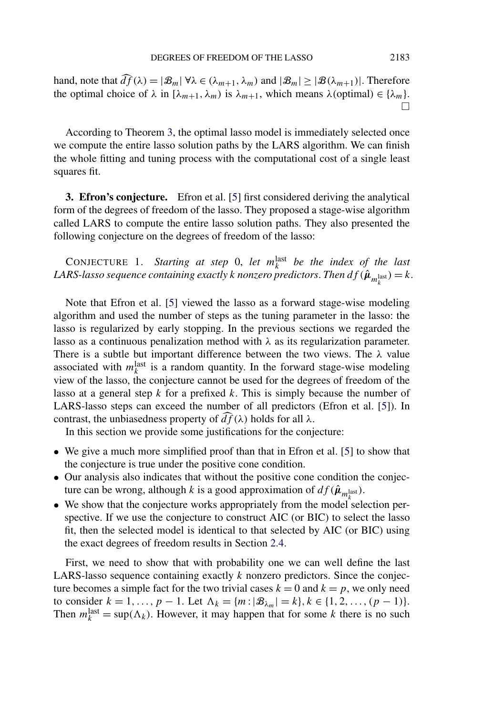<span id="page-10-0"></span>hand, note that  $\widehat{df}(\lambda) = |\mathcal{B}_m| \forall \lambda \in (\lambda_{m+1}, \lambda_m)$  and  $|\mathcal{B}_m| \geq |\mathcal{B}(\lambda_{m+1})|$ . Therefore the optimal choice of  $\lambda$  in  $[\lambda_{m+1}, \lambda_m)$  is  $\lambda_{m+1}$ , which means  $\lambda$ (optimal)  $\in {\lambda_m}$ .  $\Box$ 

According to Theorem [3,](#page-9-0) the optimal lasso model is immediately selected once we compute the entire lasso solution paths by the LARS algorithm. We can finish the whole fitting and tuning process with the computational cost of a single least squares fit.

**3. Efron's conjecture.** Efron et al. [\[5\]](#page-18-0) first considered deriving the analytical form of the degrees of freedom of the lasso. They proposed a stage-wise algorithm called LARS to compute the entire lasso solution paths. They also presented the following conjecture on the degrees of freedom of the lasso:

CONJECTURE 1. *Starting at step* 0, *let*  $m_k^{\text{last}}$  *be the index of the last*  $LARS$ -lasso sequence containing exactly  $k$  nonzero predictors. Then  $df(\hat{\bm{\mu}}_{m_k^{\text{last}}}) = k$ .

Note that Efron et al. [\[5\]](#page-18-0) viewed the lasso as a forward stage-wise modeling algorithm and used the number of steps as the tuning parameter in the lasso: the lasso is regularized by early stopping. In the previous sections we regarded the lasso as a continuous penalization method with  $\lambda$  as its regularization parameter. There is a subtle but important difference between the two views. The *λ* value associated with  $m_k^{\text{last}}$  is a random quantity. In the forward stage-wise modeling view of the lasso, the conjecture cannot be used for the degrees of freedom of the lasso at a general step *k* for a prefixed *k*. This is simply because the number of LARS-lasso steps can exceed the number of all predictors (Efron et al. [\[5\]](#page-18-0)). In contrast, the unbiasedness property of  $\widehat{df}(\lambda)$  holds for all  $\lambda$ .

In this section we provide some justifications for the conjecture:

- We give a much more simplified proof than that in Efron et al. [\[5\]](#page-18-0) to show that the conjecture is true under the positive cone condition.
- Our analysis also indicates that without the positive cone condition the conjecture can be wrong, although *k* is a good approximation of  $df(\hat{\boldsymbol{\mu}}_{m_k^{\text{last}}})$ .
- $\bullet$  We show that the conjecture works appropriately from the model selection perspective. If we use the conjecture to construct AIC (or BIC) to select the lasso fit, then the selected model is identical to that selected by AIC (or BIC) using the exact degrees of freedom results in Section [2.4.](#page-7-0)

First, we need to show that with probability one we can well define the last LARS-lasso sequence containing exactly *k* nonzero predictors. Since the conjecture becomes a simple fact for the two trivial cases  $k = 0$  and  $k = p$ , we only need to consider  $k = 1, ..., p - 1$ . Let  $\Lambda_k = \{m : |\mathcal{B}_{\lambda_m}| = k\}, k \in \{1, 2, ..., (p - 1)\}.$ Then  $m_k^{\text{last}} = \sup(\Lambda_k)$ . However, it may happen that for some *k* there is no such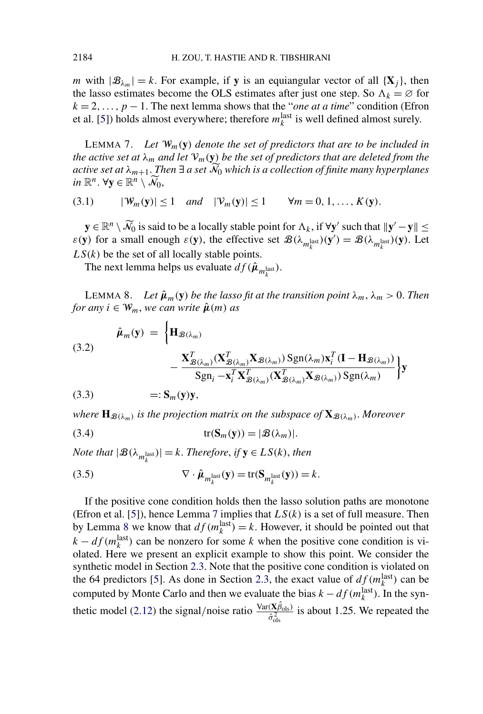<span id="page-11-0"></span>*m* with  $|\mathcal{B}_{\lambda_m}| = k$ . For example, if **y** is an equiangular vector of all  $\{X_i\}$ , then the lasso estimates become the OLS estimates after just one step. So  $\Lambda_k = \emptyset$  for  $k = 2, \ldots, p - 1$ . The next lemma shows that the "*one at a time*" condition (Efron et al. [\[5\]](#page-18-0)) holds almost everywhere; therefore  $m_k^{\text{last}}$  is well defined almost surely.

LEMMA 7. *Let* W*m(***y***) denote the set of predictors that are to be included in the active set at*  $\lambda_m$  *and let*  $V_m(y)$  *be the set of predictors that are deleted from the active set at λm*+1. *Then* ∃ *a set* N <sup>0</sup> *which is a collection of finite many hyperplanes in*  $\mathbb{R}^n$ .  $\forall y \in \mathbb{R}^n \setminus \widetilde{\mathcal{N}}_0$ ,

(3.1)  $|\mathcal{W}_m(\mathbf{y})| \le 1$  *and*  $|\mathcal{V}_m(\mathbf{y})| \le 1$   $\forall m = 0, 1, ..., K(\mathbf{y}).$ 

**y** ∈  $\mathbb{R}^n \setminus \widetilde{\mathcal{N}}_0$  is said to be a locally stable point for  $\Lambda_k$ , if  $\forall y'$  such that  $||y' - y||$  ≤ *ε(y)* for a small enough *ε(y)*, the effective set  $\mathcal{B}(\lambda_{m_k^{\text{last}}})(y) = \mathcal{B}(\lambda_{m_k^{\text{last}}})(y)$ . Let  $LS(k)$  be the set of all locally stable points.

The next lemma helps us evaluate  $df(\hat{\boldsymbol{\mu}}_{m_k^{\text{last}}})$ .

LEMMA 8. *Let*  $\hat{\mu}_m(y)$  *be the lasso fit at the transition point*  $\lambda_m$ ,  $\lambda_m > 0$ . *Then for any*  $i \in W_m$ , *we can write*  $\hat{\mu}(m)$  *as* 

(3.2)  
\n
$$
\hat{\mu}_m(\mathbf{y}) = \left\{ \mathbf{H}_{\mathcal{B}(\lambda_m)} - \frac{\mathbf{X}_{\mathcal{B}(\lambda_m)}^T (\mathbf{X}_{\mathcal{B}(\lambda_m)}^T \mathbf{X}_{\mathcal{B}(\lambda_m)}) \operatorname{Sgn}(\lambda_m) \mathbf{x}_i^T (\mathbf{I} - \mathbf{H}_{\mathcal{B}(\lambda_m)})}{\operatorname{Sgn}_i - \mathbf{x}_i^T \mathbf{X}_{\mathcal{B}(\lambda_m)}^T (\mathbf{X}_{\mathcal{B}(\lambda_m)}^T \mathbf{X}_{\mathcal{B}(\lambda_m)}) \operatorname{Sgn}(\lambda_m)} \right\} \mathbf{y}
$$
\n(3.3)  
\n
$$
=: \mathbf{S}_m(\mathbf{y}) \mathbf{y},
$$

*where*  $\mathbf{H}_{\mathcal{B}(\lambda_m)}$  *is the projection matrix on the subspace of*  $\mathbf{X}_{\mathcal{B}(\lambda_m)}$ *. Moreover* 

(3.4) 
$$
\operatorname{tr}(\mathbf{S}_m(\mathbf{y})) = |\mathcal{B}(\lambda_m)|.
$$

*Note that*  $|\mathcal{B}(\lambda_{m_k^{\text{last}}})| = k$ *. Therefore, if*  $\mathbf{y} \in LS(k)$ *, then* 

(3.5) 
$$
\nabla \cdot \hat{\boldsymbol{\mu}}_{m_k^{\text{last}}}(\mathbf{y}) = \text{tr}(\mathbf{S}_{m_k^{\text{last}}}(\mathbf{y})) = k.
$$

If the positive cone condition holds then the lasso solution paths are monotone (Efron et al. [\[5\]](#page-18-0)), hence Lemma 7 implies that *LS(k)* is a set of full measure. Then by Lemma 8 we know that  $df(m_k^{\text{last}}) = k$ . However, it should be pointed out that  $k - df(m_k^{\text{last}})$  can be nonzero for some *k* when the positive cone condition is violated. Here we present an explicit example to show this point. We consider the synthetic model in Section [2.3.](#page-7-0) Note that the positive cone condition is violated on the 64 predictors [\[5\]](#page-18-0). As done in Section [2.3,](#page-7-0) the exact value of  $df(m_k^{\text{last}})$  can be computed by Monte Carlo and then we evaluate the bias  $k - df(m_k^{\text{last}})$ . In the syn-thetic model [\(2.12\)](#page-7-0) the signal/noise ratio  $\frac{\text{Var}(\mathbf{X}\hat{\beta}_{ols})}{\hat{\mathbf{X}}^2}$  $\frac{(X\beta_{\text{ols}})}{\hat{\sigma}_{\text{ols}}^2}$  is about 1.25. We repeated the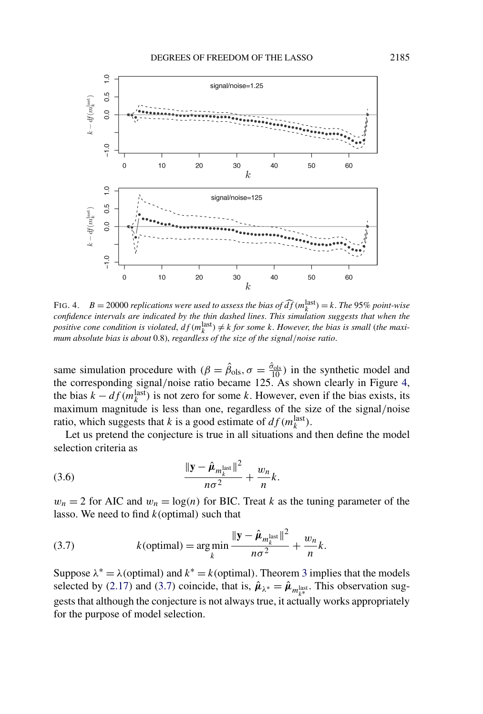

FIG. 4. *B* = 20000 *replications were used to assess the bias of*  $\widehat{df}(m_k^{\text{last}}) = k$ . *The* 95% *point-wise confidence intervals are indicated by the thin dashed lines*. *This simulation suggests that when the positive cone condition is violated,*  $df(m_k^{\text{last}}) \neq k$  *for some k. However, the bias is small (the maximum absolute bias is about* 0.8), *regardless of the size of the signal/noise ratio*.

same simulation procedure with  $(\beta = \hat{\beta}_{ols}, \sigma = \frac{\hat{\sigma}_{ols}}{10})$  in the synthetic model and the corresponding signal*/*noise ratio became 125. As shown clearly in Figure 4, the bias  $k - df(m_k^{\text{last}})$  is not zero for some *k*. However, even if the bias exists, its maximum magnitude is less than one, regardless of the size of the signal*/*noise ratio, which suggests that *k* is a good estimate of  $df(m_k^{\text{last}})$ .

Let us pretend the conjecture is true in all situations and then define the model selection criteria as

$$
\frac{\|\mathbf{y} - \hat{\boldsymbol{\mu}}_{m_k^{\text{last}}}\|^2}{n\sigma^2} + \frac{w_n}{n}k.
$$

 $w_n = 2$  for AIC and  $w_n = \log(n)$  for BIC. Treat *k* as the tuning parameter of the lasso. We need to find *k(*optimal*)* such that

(3.7) 
$$
k(\text{optimal}) = \underset{k}{\arg \min} \frac{\|\mathbf{y} - \hat{\boldsymbol{\mu}}_{m_k^{\text{last}}}\|^2}{n\sigma^2} + \frac{w_n}{n}k.
$$

Suppose  $\lambda^* = \lambda$ (optimal) and  $k^* = k$ (optimal). Theorem [3](#page-9-0) implies that the models selected by [\(2.17\)](#page-9-0) and (3.7) coincide, that is,  $\hat{\mu}_{\lambda^*} = \hat{\mu}_{m_k^{\text{last}}}$ . This observation suggests that although the conjecture is not always true, it actually works appropriately for the purpose of model selection.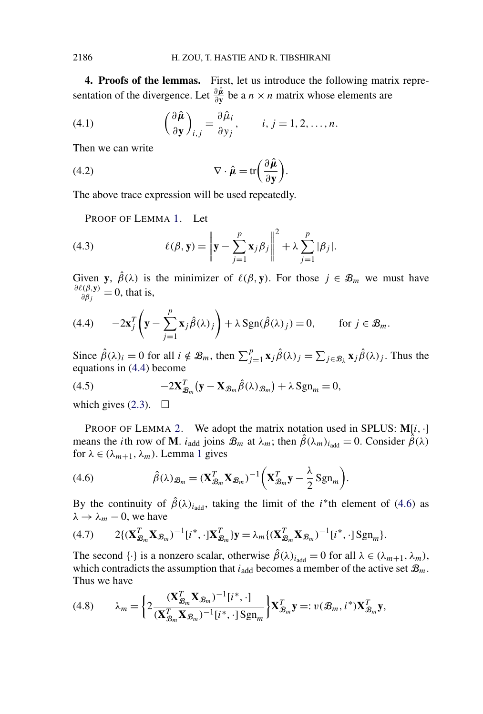<span id="page-13-0"></span>**4. Proofs of the lemmas.** First, let us introduce the following matrix representation of the divergence. Let  $\frac{\partial \hat{\mu}}{\partial y}$  be a *n* × *n* matrix whose elements are

(4.1) 
$$
\left(\frac{\partial \hat{\boldsymbol{\mu}}}{\partial \mathbf{y}}\right)_{i,j} = \frac{\partial \hat{\mu}_i}{\partial y_j}, \qquad i, j = 1, 2, ..., n.
$$

Then we can write

(4.2) 
$$
\nabla \cdot \hat{\boldsymbol{\mu}} = \text{tr} \left( \frac{\partial \hat{\boldsymbol{\mu}}}{\partial \mathbf{y}} \right).
$$

The above trace expression will be used repeatedly.

PROOF OF LEMMA [1.](#page-5-0) Let

(4.3) 
$$
\ell(\beta, \mathbf{y}) = \left\| \mathbf{y} - \sum_{j=1}^p \mathbf{x}_j \beta_j \right\|^2 + \lambda \sum_{j=1}^p |\beta_j|.
$$

Given **y**,  $\hat{\beta}(\lambda)$  is the minimizer of  $\ell(\beta, \mathbf{y})$ . For those  $j \in \mathcal{B}_m$  we must have  $\frac{\partial \ell(\beta, \mathbf{y})}{\partial \beta_j} = 0$ , that is,

(4.4) 
$$
-2\mathbf{x}_j^T\left(\mathbf{y}-\sum_{j=1}^p\mathbf{x}_j\hat{\beta}(\lambda)_j\right)+\lambda \operatorname{Sgn}(\hat{\beta}(\lambda)_j)=0, \quad \text{for } j \in \mathcal{B}_m.
$$

Since  $\hat{\beta}(\lambda)_i = 0$  for all  $i \notin \mathcal{B}_m$ , then  $\sum_{j=1}^p \mathbf{x}_j \hat{\beta}(\lambda)_j = \sum_{j \in \mathcal{B}_\lambda} \mathbf{x}_j \hat{\beta}(\lambda)_j$ . Thus the equations in (4.4) become

(4.5) 
$$
-2\mathbf{X}_{\mathcal{B}_m}^T(\mathbf{y}-\mathbf{X}_{\mathcal{B}_m}\hat{\beta}(\lambda)_{\mathcal{B}_m})+\lambda \operatorname{Sgn}_m=0,
$$

which gives  $(2.3)$ .  $\Box$ 

PROOF OF LEMMA [2.](#page-5-0) We adopt the matrix notation used in SPLUS: **M**[*i,*·] means the *i*th row of **M**. *i*<sub>add</sub> joins  $\mathcal{B}_m$  at  $\lambda_m$ ; then  $\hat{\beta}(\lambda_m)_{i_{\text{add}}} = 0$ . Consider  $\hat{\beta}(\lambda)$ for  $\lambda \in (\lambda_{m+1}, \lambda_m)$  $\lambda \in (\lambda_{m+1}, \lambda_m)$  $\lambda \in (\lambda_{m+1}, \lambda_m)$ . Lemma 1 gives

(4.6) 
$$
\hat{\beta}(\lambda)_{\mathcal{B}_m} = (\mathbf{X}_{\mathcal{B}_m}^T \mathbf{X}_{\mathcal{B}_m})^{-1} \left( \mathbf{X}_{\mathcal{B}_m}^T \mathbf{y} - \frac{\lambda}{2} \mathrm{Sgn}_m \right).
$$

By the continuity of  $\hat{\beta}(\lambda)_{i_{\text{add}}}$ , taking the limit of the *i*<sup>\*</sup>th element of (4.6) as  $\lambda \rightarrow \lambda_m - 0$ , we have

$$
(4.7) \qquad 2\{(\mathbf{X}_{\mathcal{B}_m}^T\mathbf{X}_{\mathcal{B}_m})^{-1}[i^*,\cdot]\mathbf{X}_{\mathcal{B}_m}^T\}\mathbf{y}=\lambda_m\{(\mathbf{X}_{\mathcal{B}_m}^T\mathbf{X}_{\mathcal{B}_m})^{-1}[i^*,\cdot]\mathrm{Sgn}_m\}.
$$

The second  $\{\cdot\}$  is a nonzero scalar, otherwise  $\hat{\beta}(\lambda)_{i_{\text{add}}} = 0$  for all  $\lambda \in (\lambda_{m+1}, \lambda_m)$ , which contradicts the assumption that  $i_{\text{add}}$  becomes a member of the active set  $\mathcal{B}_m$ . Thus we have

(4.8) 
$$
\lambda_m = \left\{ 2 \frac{(\mathbf{X}_{\mathcal{B}_m}^T \mathbf{X}_{\mathcal{B}_m})^{-1} [i^*, \cdot]}{(\mathbf{X}_{\mathcal{B}_m}^T \mathbf{X}_{\mathcal{B}_m})^{-1} [i^*, \cdot] \operatorname{Sgn}_m} \right\} \mathbf{X}_{\mathcal{B}_m}^T \mathbf{y} =: v(\mathcal{B}_m, i^*) \mathbf{X}_{\mathcal{B}_m}^T \mathbf{y},
$$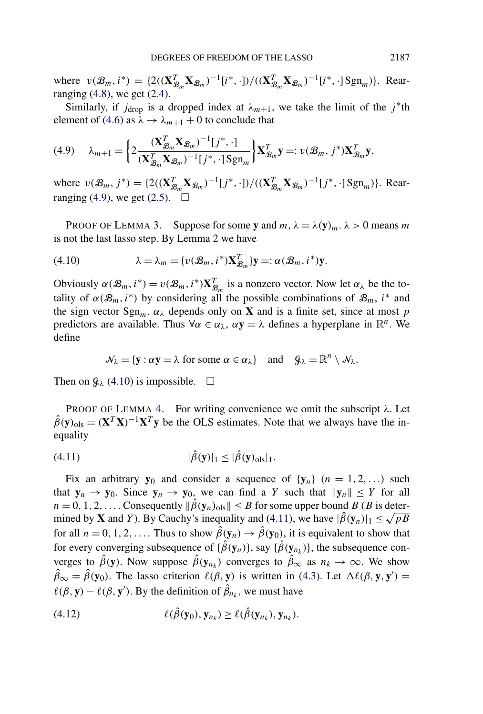<span id="page-14-0"></span> $v(\mathcal{B}_m, i^*) = \{2((\mathbf{X}_{\mathcal{B}_m}^T}^T \mathbf{X}_{\mathcal{B}_m})^{-1}[i^*, \cdot] / ((\mathbf{X}_{\mathcal{B}_m}^T \mathbf{X}_{\mathcal{B}_m})^{-1}[i^*, \cdot] \text{Sgn}_m)\}.$  Rearranging  $(4.8)$ , we get  $(2.4)$ .

Similarly, if  $j_{\text{drop}}$  is a dropped index at  $\lambda_{m+1}$ , we take the limit of the  $j^*$ th element of [\(4.6\)](#page-13-0) as  $\lambda \rightarrow \lambda_{m+1} + 0$  to conclude that

$$
(4.9) \qquad \lambda_{m+1} = \bigg\{ 2 \frac{(\mathbf{X}_{\mathcal{B}_m}^T \mathbf{X}_{\mathcal{B}_m})^{-1} [j^*, \cdot]}{(\mathbf{X}_{\mathcal{B}_m}^T \mathbf{X}_{\mathcal{B}_m})^{-1} [j^*, \cdot] \operatorname{Sgn}_m} \bigg\} \mathbf{X}_{\mathcal{B}_m}^T \mathbf{y} =: v(\mathcal{B}_m, j^*) \mathbf{X}_{\mathcal{B}_m}^T \mathbf{y},
$$

where  $v(\mathcal{B}_m, j^*) = \{2((\mathbf{X}_{\mathcal{B}_m}^T \mathbf{X}_{\mathcal{B}_m})^{-1}[j^*, \cdot])/((\mathbf{X}_{\mathcal{B}_m}^T \mathbf{X}_{\mathcal{B}_m})^{-1}[j^*, \cdot] \text{Sgn}_m)\}$ . Rear-ranging (4.9), we get [\(2.5\)](#page-5-0).  $\Box$ 

PROOF OF LEMMA [3.](#page-5-0) Suppose for some **y** and  $m, \lambda = \lambda(y)_m$ .  $\lambda > 0$  means  $m$ is not the last lasso step. By Lemma [2](#page-5-0) we have

(4.10) 
$$
\lambda = \lambda_m = \{v(\mathcal{B}_m, i^*)\mathbf{X}_{\mathcal{B}_m}^T\}\mathbf{y} =: \alpha(\mathcal{B}_m, i^*)\mathbf{y}.
$$

Obviously  $\alpha(\mathcal{B}_m, i^*) = v(\mathcal{B}_m, i^*)\mathbf{X}_{\mathcal{B}_m}^T$  is a nonzero vector. Now let  $\alpha_{\lambda}$  be the totality of  $\alpha(\mathcal{B}_m, i^*)$  by considering all the possible combinations of  $\mathcal{B}_m$ ,  $i^*$  and the sign vector  $\text{Sgn}_m$ .  $\alpha_\lambda$  depends only on **X** and is a finite set, since at most *p* predictors are available. Thus  $\forall \alpha \in \alpha_\lambda$ ,  $\alpha y = \lambda$  defines a hyperplane in  $\mathbb{R}^n$ . We define

$$
\mathcal{N}_{\lambda} = \{ \mathbf{y} : \alpha \mathbf{y} = \lambda \text{ for some } \alpha \in \alpha_{\lambda} \} \text{ and } \mathcal{G}_{\lambda} = \mathbb{R}^{n} \setminus \mathcal{N}_{\lambda}.
$$

Then on  $\mathcal{G}_{\lambda}$  (4.10) is impossible.  $\square$ 

PROOF OF LEMMA [4.](#page-5-0) For writing convenience we omit the subscript *λ*. Let  $\hat{\beta}(y)_{ols} = (X^T X)^{-1} X^T y$  be the OLS estimates. Note that we always have the inequality

$$
(4.11) \qquad |\hat{\beta}(\mathbf{y})|_1 \leq |\hat{\beta}(\mathbf{y})_{\text{ols}}|_1.
$$

Fix an arbitrary **y**<sub>0</sub> and consider a sequence of  $\{y_n\}$  ( $n = 1, 2, \ldots$ ) such that  $y_n \to y_0$ . Since  $y_n \to y_0$ , we can find a *Y* such that  $||y_n|| \leq Y$  for all  $n = 0, 1, 2, \ldots$  Consequently  $\|\hat{\beta}(\mathbf{y}_n)_{\text{ols}}\| \leq B$  for some upper bound *B* (*B* is determined by **X** and *Y*). By Cauchy's inequality and (4.11), we have  $|\hat{\beta}(\mathbf{y}_n)|_1 \le \sqrt{pB}$ for all  $n = 0, 1, 2, \ldots$  Thus to show  $\hat{\beta}(y_n) \rightarrow \hat{\beta}(y_0)$ , it is equivalent to show that for every converging subsequence of  $\{\hat{\beta}(\mathbf{y}_n)\}\)$ , say  $\{\hat{\beta}(\mathbf{y}_n)\}\)$ , the subsequence converges to  $\hat{\beta}(y)$ . Now suppose  $\hat{\beta}(y_{n_k})$  converges to  $\hat{\beta}_{\infty}$  as  $n_k \to \infty$ . We show  $\hat{\beta}_{\infty} = \hat{\beta}(\mathbf{y}_0)$ . The lasso criterion  $\ell(\beta, \mathbf{y})$  is written in [\(4.3\)](#page-13-0). Let  $\Delta \ell(\beta, \mathbf{y}, \mathbf{y}') =$  $\ell(\beta, \mathbf{y}) - \ell(\beta, \mathbf{y}')$ . By the definition of  $\hat{\beta}_{n_k}$ , we must have

(4.12) 
$$
\ell(\hat{\beta}(\mathbf{y}_0), \mathbf{y}_{n_k}) \geq \ell(\hat{\beta}(\mathbf{y}_{n_k}), \mathbf{y}_{n_k}).
$$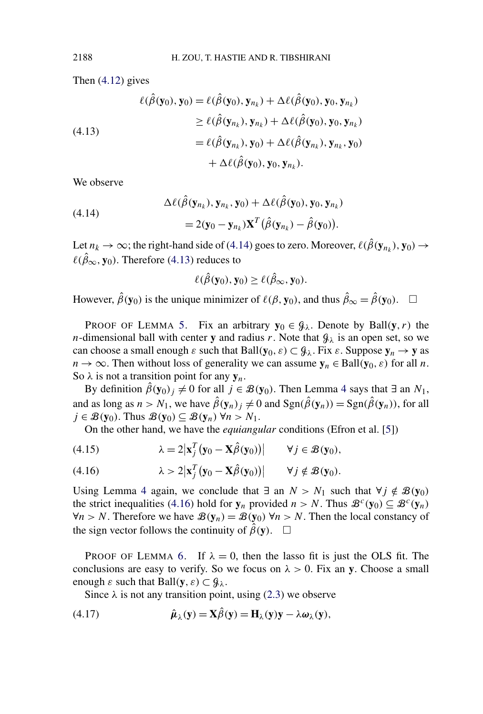Then [\(4.12\)](#page-14-0) gives

(4.13)  
\n
$$
\ell(\hat{\beta}(\mathbf{y}_0), \mathbf{y}_0) = \ell(\hat{\beta}(\mathbf{y}_0), \mathbf{y}_{n_k}) + \Delta \ell(\hat{\beta}(\mathbf{y}_0), \mathbf{y}_0, \mathbf{y}_{n_k})
$$
\n
$$
\geq \ell(\hat{\beta}(\mathbf{y}_{n_k}), \mathbf{y}_{n_k}) + \Delta \ell(\hat{\beta}(\mathbf{y}_0), \mathbf{y}_0, \mathbf{y}_{n_k})
$$
\n
$$
= \ell(\hat{\beta}(\mathbf{y}_{n_k}), \mathbf{y}_0) + \Delta \ell(\hat{\beta}(\mathbf{y}_{n_k}), \mathbf{y}_{n_k}, \mathbf{y}_0)
$$
\n
$$
+ \Delta \ell(\hat{\beta}(\mathbf{y}_0), \mathbf{y}_0, \mathbf{y}_{n_k}).
$$

We observe

(4.14)  
\n
$$
\Delta \ell(\hat{\beta}(\mathbf{y}_{n_k}), \mathbf{y}_{n_k}, \mathbf{y}_0) + \Delta \ell(\hat{\beta}(\mathbf{y}_0), \mathbf{y}_0, \mathbf{y}_{n_k})
$$
\n
$$
= 2(\mathbf{y}_0 - \mathbf{y}_{n_k})\mathbf{X}^T(\hat{\beta}(\mathbf{y}_{n_k}) - \hat{\beta}(\mathbf{y}_0)).
$$

Let  $n_k \to \infty$ ; the right-hand side of (4.14) goes to zero. Moreover,  $\ell(\hat{\beta}(\mathbf{y}_{n_k}), \mathbf{y}_0) \to$  $\ell(\hat{\beta}_{\infty}, \mathbf{y}_0)$ . Therefore (4.13) reduces to

$$
\ell(\hat{\beta}(\mathbf{y}_0), \mathbf{y}_0) \geq \ell(\hat{\beta}_{\infty}, \mathbf{y}_0).
$$

However,  $\hat{\beta}(\mathbf{y}_0)$  is the unique minimizer of  $\ell(\beta, \mathbf{y}_0)$ , and thus  $\hat{\beta}_{\infty} = \hat{\beta}(\mathbf{y}_0)$ .  $\square$ 

PROOF OF LEMMA [5.](#page-5-0) Fix an arbitrary  $y_0 \in \mathcal{G}_\lambda$ . Denote by Ball $(y, r)$  the *n*-dimensional ball with center **y** and radius *r*. Note that  $\mathcal{G}_{\lambda}$  is an open set, so we can choose a small enough  $\varepsilon$  such that Ball $(y_0, \varepsilon) \subset \mathcal{G}_\lambda$ . Fix  $\varepsilon$ . Suppose  $y_n \to y$  as  $n \to \infty$ . Then without loss of generality we can assume  $y_n \in \text{Ball}(y_0, \varepsilon)$  for all *n*. So  $\lambda$  is not a transition point for any  $y_n$ .

By definition  $\hat{\beta}(y_0)_j \neq 0$  for all  $j \in \mathcal{B}(y_0)$ . Then Lemma [4](#page-5-0) says that  $\exists$  an  $N_1$ , and as long as  $n > N_1$ , we have  $\hat{\beta}(\mathbf{y}_n)_j \neq 0$  and  $\text{Sgn}(\hat{\beta}(\mathbf{y}_n)) = \text{Sgn}(\hat{\beta}(\mathbf{y}_n))$ , for all  $j \in \mathcal{B}(\mathbf{y}_0)$ . Thus  $\mathcal{B}(\mathbf{y}_0) \subseteq \mathcal{B}(\mathbf{y}_n)$   $\forall n > N_1$ .

On the other hand, we have the *equiangular* conditions (Efron et al. [\[5\]](#page-18-0))

(4.15) 
$$
\lambda = 2|\mathbf{x}_j^T(\mathbf{y}_0 - \mathbf{X}\hat{\beta}(\mathbf{y}_0))| \qquad \forall j \in \mathcal{B}(\mathbf{y}_0),
$$

(4.16) 
$$
\lambda > 2|\mathbf{x}_j^T(\mathbf{y}_0 - \mathbf{X}\hat{\beta}(\mathbf{y}_0))| \quad \forall j \notin \mathcal{B}(\mathbf{y}_0).
$$

Using Lemma [4](#page-5-0) again, we conclude that  $\exists$  an  $N > N_1$  such that  $\forall j \notin \mathcal{B}(\mathbf{y}_0)$ the strict inequalities (4.16) hold for  $y_n$  provided  $n > N$ . Thus  $\mathcal{B}^c(y_0) \subseteq \mathcal{B}^c(y_n)$  $∀n > N$ . Therefore we have  $\mathcal{B}(\mathbf{y}_n) = \mathcal{B}(\mathbf{y}_0) \forall n > N$ . Then the local constancy of the sign vector follows the continuity of  $\hat{\beta}(y)$ .  $\Box$ 

PROOF OF LEMMA [6.](#page-5-0) If  $\lambda = 0$ , then the lasso fit is just the OLS fit. The conclusions are easy to verify. So we focus on  $\lambda > 0$ . Fix an **y**. Choose a small  $\epsilon$  such that Ball(**y***, ε*) ⊂  $\mathcal{G}_\lambda$ *.* 

Since  $\lambda$  is not any transition point, using [\(2.3\)](#page-5-0) we observe

(4.17) 
$$
\hat{\mu}_{\lambda}(y) = X\hat{\beta}(y) = H_{\lambda}(y)y - \lambda \omega_{\lambda}(y),
$$

<span id="page-15-0"></span>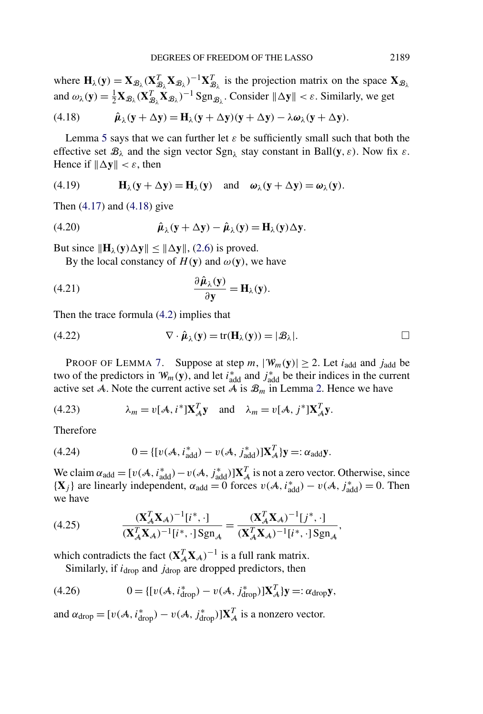where  $\mathbf{H}_{\lambda}(\mathbf{y}) = \mathbf{X}_{\mathcal{B}_{\lambda}} (\mathbf{X}_{\mathcal{B}_{\lambda}}^T \mathbf{X}_{\mathcal{B}_{\lambda}})^{-1} \mathbf{X}_{\mathcal{B}_{\lambda}}^T$  is the projection matrix on the space  $\mathbf{X}_{\mathcal{B}_{\lambda}}$ and  $\omega_{\lambda}(\mathbf{y}) = \frac{1}{2} \mathbf{X}_{\mathcal{B}_{\lambda}} (\mathbf{X}_{\mathcal{B}_{\lambda}}^T \mathbf{X}_{\mathcal{B}_{\lambda}})^{-1} \text{Sgn}_{\mathcal{B}_{\lambda}}$ . Consider  $\|\Delta \mathbf{y}\| < \varepsilon$ . Similarly, we get

(4.18) 
$$
\hat{\boldsymbol{\mu}}_{\lambda}(\mathbf{y} + \Delta \mathbf{y}) = \mathbf{H}_{\lambda}(\mathbf{y} + \Delta \mathbf{y})(\mathbf{y} + \Delta \mathbf{y}) - \lambda \boldsymbol{\omega}_{\lambda}(\mathbf{y} + \Delta \mathbf{y}).
$$

Lemma [5](#page-5-0) says that we can further let  $\varepsilon$  be sufficiently small such that both the effective set  $\mathcal{B}_\lambda$  and the sign vector  $\text{Sgn}_\lambda$  stay constant in Ball $(\mathbf{y}, \varepsilon)$ . Now fix  $\varepsilon$ . Hence if  $\|\Delta y\| < \varepsilon$ , then

(4.19) 
$$
\mathbf{H}_{\lambda}(\mathbf{y} + \Delta \mathbf{y}) = \mathbf{H}_{\lambda}(\mathbf{y}) \text{ and } \boldsymbol{\omega}_{\lambda}(\mathbf{y} + \Delta \mathbf{y}) = \boldsymbol{\omega}_{\lambda}(\mathbf{y}).
$$

Then [\(4.17\)](#page-15-0) and (4.18) give

(4.20) 
$$
\hat{\mu}_{\lambda}(\mathbf{y} + \Delta \mathbf{y}) - \hat{\mu}_{\lambda}(\mathbf{y}) = \mathbf{H}_{\lambda}(\mathbf{y}) \Delta \mathbf{y}.
$$

But since  $\|\mathbf{H}_{\lambda}(\mathbf{y})\Delta \mathbf{y}\| \leq \|\Delta \mathbf{y}\|$ , [\(2.6\)](#page-5-0) is proved.

By the local constancy of  $H(y)$  and  $\omega(y)$ , we have

(4.21) 
$$
\frac{\partial \hat{\mu}_{\lambda}(y)}{\partial y} = H_{\lambda}(y).
$$

Then the trace formula [\(4.2\)](#page-13-0) implies that

(4.22) 
$$
\nabla \cdot \hat{\boldsymbol{\mu}}_{\lambda}(\mathbf{y}) = \text{tr}(\mathbf{H}_{\lambda}(\mathbf{y})) = |\mathcal{B}_{\lambda}|.
$$

PROOF OF LEMMA [7.](#page-11-0) Suppose at step  $m$ ,  $|\mathcal{W}_m(\mathbf{y})| \geq 2$ . Let  $i_{\text{add}}$  and  $j_{\text{add}}$  be two of the predictors in  $W_m(y)$ , and let  $i^*_{\text{add}}$  and  $j^*_{\text{add}}$  be their indices in the current active set A. Note the current active set A is  $\mathcal{B}_m$  in Lemma [2.](#page-5-0) Hence we have

(4.23) 
$$
\lambda_m = v[\mathcal{A}, i^*]\mathbf{X}_{\mathcal{A}}^T \mathbf{y} \text{ and } \lambda_m = v[\mathcal{A}, j^*]\mathbf{X}_{\mathcal{A}}^T \mathbf{y}.
$$

Therefore

(4.24) 
$$
0 = \{ [v(\mathcal{A}, i_{\text{add}}^*) - v(\mathcal{A}, j_{\text{add}}^*)] \mathbf{X}_{\mathcal{A}}^T \} \mathbf{y} =: \alpha_{\text{add}} \mathbf{y}.
$$

We claim  $\alpha_{\text{add}} = [v(\mathcal{A}, i_{\text{add}}^*) - v(\mathcal{A}, j_{\text{add}}^*)] \mathbf{X}_{\mathcal{A}}^T$  is not a zero vector. Otherwise, since  ${\bf \{X}}_j$  are linearly independent,  $\alpha_{\text{add}} = 0$  forces  $v(\mathcal{A}, i^*_{\text{add}}) - v(\mathcal{A}, j^*_{\text{add}}) = 0$ . Then we have

(4.25) 
$$
\frac{(\mathbf{X}_{A}^{T}\mathbf{X}_{A})^{-1}[i^{*},\cdot]}{(\mathbf{X}_{A}^{T}\mathbf{X}_{A})^{-1}[i^{*},\cdot]Sgn_{A}} = \frac{(\mathbf{X}_{A}^{T}\mathbf{X}_{A})^{-1}[j^{*},\cdot]}{(\mathbf{X}_{A}^{T}\mathbf{X}_{A})^{-1}[i^{*},\cdot]Sgn_{A}},
$$

which contradicts the fact  $(\mathbf{X}_{A}^{T} \mathbf{X}_{A})^{-1}$  is a full rank matrix.

Similarly, if  $i_{drop}$  and  $j_{drop}$  are dropped predictors, then

(4.26) 
$$
0 = \{ [v(\mathcal{A}, i_{\text{drop}}^*) - v(\mathcal{A}, j_{\text{drop}}^*)] \mathbf{X}_{\mathcal{A}}^T \} \mathbf{y} =: \alpha_{\text{drop}} \mathbf{y},
$$

and  $\alpha_{drop} = [v(\mathcal{A}, i_{drop}^*) - v(\mathcal{A}, j_{drop}^*)] \mathbf{X}_{\mathcal{A}}^T$  is a nonzero vector.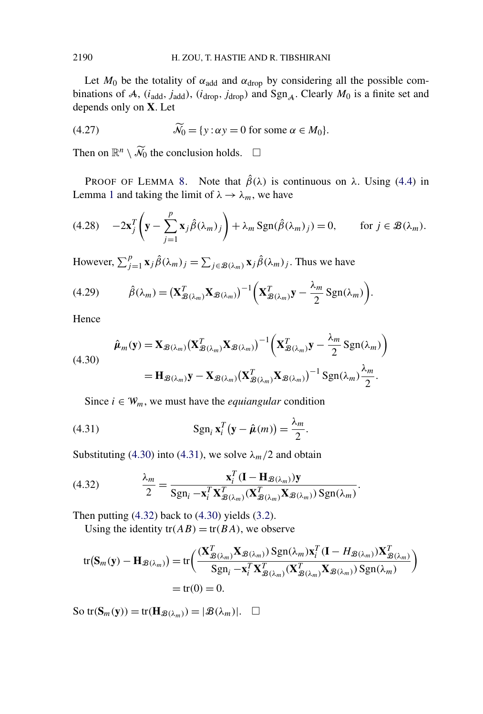Let  $M_0$  be the totality of  $\alpha_{\text{add}}$  and  $\alpha_{\text{drop}}$  by considering all the possible combinations of A,  $(i_{\text{add}}$ ,  $j_{\text{add}})$ ,  $(i_{\text{drop}}$ ,  $j_{\text{drop}})$  and  $\text{Sgn}_{A}$ . Clearly  $M_0$  is a finite set and depends only on **X**. Let

(4.27) 
$$
\widetilde{\mathcal{N}}_0 = \{y : \alpha y = 0 \text{ for some } \alpha \in M_0\}.
$$

Then on  $\mathbb{R}^n \setminus \widetilde{\mathcal{N}}_0$  the conclusion holds.  $\Box$ 

PROOF OF LEMMA [8.](#page-11-0) Note that  $\hat{\beta}(\lambda)$  is continuous on  $\lambda$ . Using [\(4.4\)](#page-13-0) in Lemma [1](#page-5-0) and taking the limit of  $\lambda \rightarrow \lambda_m$ , we have

(4.28) 
$$
-2\mathbf{x}_j^T\left(\mathbf{y}-\sum_{j=1}^p\mathbf{x}_j\hat{\beta}(\lambda_m)_j\right)+\lambda_m\operatorname{Sgn}(\hat{\beta}(\lambda_m)_j)=0, \quad \text{for } j \in \mathcal{B}(\lambda_m).
$$

However,  $\sum_{j=1}^{p} \mathbf{x}_j \hat{\beta}(\lambda_m)_{j} = \sum_{j \in \mathcal{B}(\lambda_m)} \mathbf{x}_j \hat{\beta}(\lambda_m)_{j}$ . Thus we have

(4.29) 
$$
\hat{\beta}(\lambda_m) = (\mathbf{X}_{\mathcal{B}(\lambda_m)}^T \mathbf{X}_{\mathcal{B}(\lambda_m)})^{-1} \left( \mathbf{X}_{\mathcal{B}(\lambda_m)}^T \mathbf{y} - \frac{\lambda_m}{2} \text{Sgn}(\lambda_m) \right).
$$

Hence

$$
\hat{\boldsymbol{\mu}}_m(\mathbf{y}) = \mathbf{X}_{\mathcal{B}(\lambda_m)} (\mathbf{X}_{\mathcal{B}(\lambda_m)}^T \mathbf{X}_{\mathcal{B}(\lambda_m)})^{-1} \left( \mathbf{X}_{\mathcal{B}(\lambda_m)}^T \mathbf{y} - \frac{\lambda_m}{2} \operatorname{Sgn}(\lambda_m) \right)
$$
\n
$$
= \mathbf{H}_{\mathcal{B}(\lambda_m)} \mathbf{y} - \mathbf{X}_{\mathcal{B}(\lambda_m)} (\mathbf{X}_{\mathcal{B}(\lambda_m)}^T \mathbf{X}_{\mathcal{B}(\lambda_m)})^{-1} \operatorname{Sgn}(\lambda_m) \frac{\lambda_m}{2}.
$$

Since  $i \in W_m$ , we must have the *equiangular* condition

(4.31) 
$$
\operatorname{Sgn}_{i} \mathbf{x}_{i}^{T}(\mathbf{y} - \hat{\boldsymbol{\mu}}(m)) = \frac{\lambda_{m}}{2}.
$$

Substituting (4.30) into (4.31), we solve  $\lambda_m/2$  and obtain

(4.32) 
$$
\frac{\lambda_m}{2} = \frac{\mathbf{x}_i^T (\mathbf{I} - \mathbf{H}_{\mathcal{B}(\lambda_m)}) \mathbf{y}}{\text{Sgn}_i - \mathbf{x}_i^T \mathbf{X}_{\mathcal{B}(\lambda_m)}^T (\mathbf{X}_{\mathcal{B}(\lambda_m)}^T \mathbf{X}_{\mathcal{B}(\lambda_m)}) \text{Sgn}(\lambda_m)}.
$$

Then putting  $(4.32)$  back to  $(4.30)$  yields  $(3.2)$ .

Using the identity  $tr(AB) = tr(BA)$ , we observe

$$
tr(\mathbf{S}_m(\mathbf{y}) - \mathbf{H}_{\mathcal{B}(\lambda_m)}) = tr\left(\frac{(\mathbf{X}_{\mathcal{B}(\lambda_m)}^T \mathbf{X}_{\mathcal{B}(\lambda_m)}) \operatorname{Sgn}(\lambda_m) \mathbf{x}_i^T (\mathbf{I} - H_{\mathcal{B}(\lambda_m)}) \mathbf{X}_{\mathcal{B}(\lambda_m)}^T}{\operatorname{Sgn}_i - \mathbf{x}_i^T \mathbf{X}_{\mathcal{B}(\lambda_m)}^T (\mathbf{X}_{\mathcal{B}(\lambda_m)}^T \mathbf{X}_{\mathcal{B}(\lambda_m)}) \operatorname{Sgn}(\lambda_m)}\right) = tr(0) = 0.
$$

 $\text{So } \text{tr}(\mathbf{S}_m(\mathbf{y})) = \text{tr}(\mathbf{H}_{\mathcal{B}(\lambda_m)}) = |\mathcal{B}(\lambda_m)|.$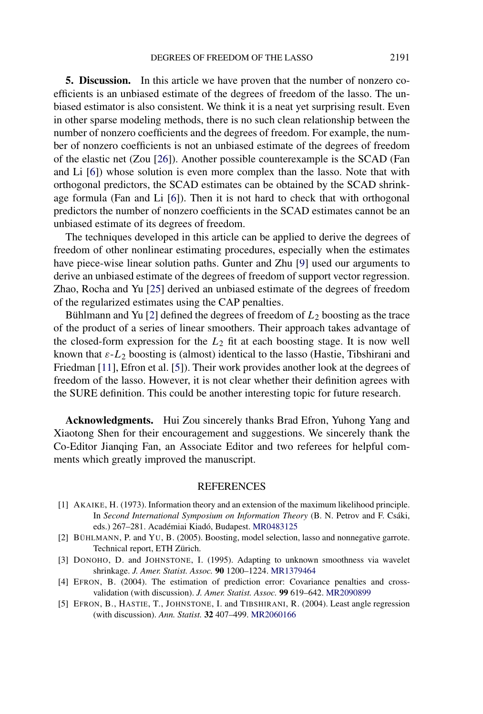<span id="page-18-0"></span>**5. Discussion.** In this article we have proven that the number of nonzero coefficients is an unbiased estimate of the degrees of freedom of the lasso. The unbiased estimator is also consistent. We think it is a neat yet surprising result. Even in other sparse modeling methods, there is no such clean relationship between the number of nonzero coefficients and the degrees of freedom. For example, the number of nonzero coefficients is not an unbiased estimate of the degrees of freedom of the elastic net (Zou [\[26\]](#page-19-0)). Another possible counterexample is the SCAD (Fan and Li [\[6\]](#page-19-0)) whose solution is even more complex than the lasso. Note that with orthogonal predictors, the SCAD estimates can be obtained by the SCAD shrinkage formula (Fan and Li [\[6\]](#page-19-0)). Then it is not hard to check that with orthogonal predictors the number of nonzero coefficients in the SCAD estimates cannot be an unbiased estimate of its degrees of freedom.

The techniques developed in this article can be applied to derive the degrees of freedom of other nonlinear estimating procedures, especially when the estimates have piece-wise linear solution paths. Gunter and Zhu [\[9\]](#page-19-0) used our arguments to derive an unbiased estimate of the degrees of freedom of support vector regression. Zhao, Rocha and Yu [\[25\]](#page-19-0) derived an unbiased estimate of the degrees of freedom of the regularized estimates using the CAP penalties.

Bühlmann and Yu [2] defined the degrees of freedom of *L*<sup>2</sup> boosting as the trace of the product of a series of linear smoothers. Their approach takes advantage of the closed-form expression for the *L*<sup>2</sup> fit at each boosting stage. It is now well known that *ε*-*L*<sup>2</sup> boosting is (almost) identical to the lasso (Hastie, Tibshirani and Friedman [\[11\]](#page-19-0), Efron et al. [5]). Their work provides another look at the degrees of freedom of the lasso. However, it is not clear whether their definition agrees with the SURE definition. This could be another interesting topic for future research.

**Acknowledgments.** Hui Zou sincerely thanks Brad Efron, Yuhong Yang and Xiaotong Shen for their encouragement and suggestions. We sincerely thank the Co-Editor Jianqing Fan, an Associate Editor and two referees for helpful comments which greatly improved the manuscript.

## REFERENCES

- [1] AKAIKE, H. (1973). Information theory and an extension of the maximum likelihood principle. In *Second International Symposium on Information Theory* (B. N. Petrov and F. Csáki, eds.) 267–281. Académiai Kiadó, Budapest. [MR0483125](http://www.ams.org/mathscinet-getitem?mr=0483125)
- [2] BÜHLMANN, P. and YU, B. (2005). Boosting, model selection, lasso and nonnegative garrote. Technical report, ETH Zürich.
- [3] DONOHO, D. and JOHNSTONE, I. (1995). Adapting to unknown smoothness via wavelet shrinkage. *J. Amer. Statist. Assoc.* **90** 1200–1224. [MR1379464](http://www.ams.org/mathscinet-getitem?mr=1379464)
- [4] EFRON, B. (2004). The estimation of prediction error: Covariance penalties and crossvalidation (with discussion). *J. Amer. Statist. Assoc.* **99** 619–642. [MR2090899](http://www.ams.org/mathscinet-getitem?mr=2090899)
- [5] EFRON, B., HASTIE, T., JOHNSTONE, I. and TIBSHIRANI, R. (2004). Least angle regression (with discussion). *Ann. Statist.* **32** 407–499. [MR2060166](http://www.ams.org/mathscinet-getitem?mr=2060166)